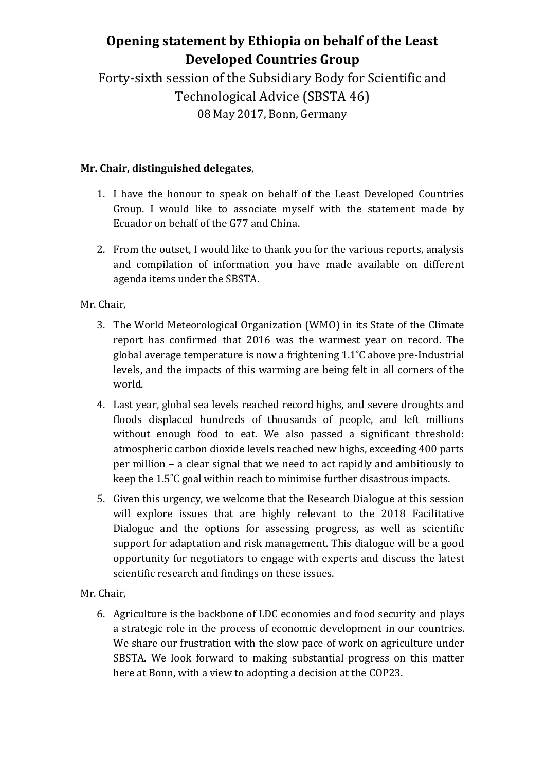# **Opening statement by Ethiopia on behalf of the Least Developed Countries Group**

Forty-sixth session of the Subsidiary Body for Scientific and Technological Advice (SBSTA 46) 08 May 2017, Bonn, Germany

## **Mr. Chair, distinguished delegates**,

- 1. I have the honour to speak on behalf of the Least Developed Countries Group. I would like to associate myself with the statement made by Ecuador on behalf of the G77 and China.
- 2. From the outset, I would like to thank you for the various reports, analysis and compilation of information you have made available on different agenda items under the SBSTA.

Mr. Chair,

- 3. The World Meteorological Organization (WMO) in its State of the Climate report has confirmed that 2016 was the warmest year on record. The global average temperature is now a frightening 1.1˚C above pre-Industrial levels, and the impacts of this warming are being felt in all corners of the world.
- 4. Last year, global sea levels reached record highs, and severe droughts and floods displaced hundreds of thousands of people, and left millions without enough food to eat. We also passed a significant threshold: atmospheric carbon dioxide levels reached new highs, exceeding 400 parts per million – a clear signal that we need to act rapidly and ambitiously to keep the 1.5˚C goal within reach to minimise further disastrous impacts.
- 5. Given this urgency, we welcome that the Research Dialogue at this session will explore issues that are highly relevant to the 2018 Facilitative Dialogue and the options for assessing progress, as well as scientific support for adaptation and risk management. This dialogue will be a good opportunity for negotiators to engage with experts and discuss the latest scientific research and findings on these issues.

Mr. Chair,

6. Agriculture is the backbone of LDC economies and food security and plays a strategic role in the process of economic development in our countries. We share our frustration with the slow pace of work on agriculture under SBSTA. We look forward to making substantial progress on this matter here at Bonn, with a view to adopting a decision at the COP23.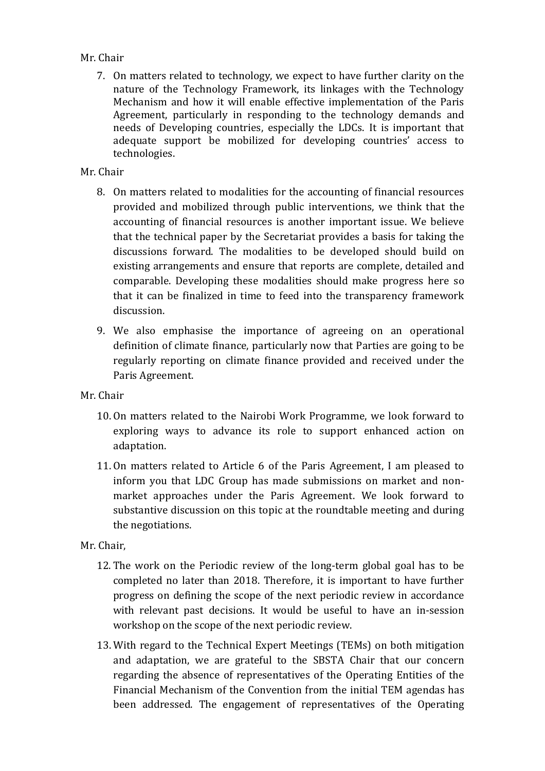#### Mr. Chair

7. On matters related to technology, we expect to have further clarity on the nature of the Technology Framework, its linkages with the Technology Mechanism and how it will enable effective implementation of the Paris Agreement, particularly in responding to the technology demands and needs of Developing countries, especially the LDCs. It is important that adequate support be mobilized for developing countries' access to technologies.

### Mr. Chair

- 8. On matters related to modalities for the accounting of financial resources provided and mobilized through public interventions, we think that the accounting of financial resources is another important issue. We believe that the technical paper by the Secretariat provides a basis for taking the discussions forward. The modalities to be developed should build on existing arrangements and ensure that reports are complete, detailed and comparable. Developing these modalities should make progress here so that it can be finalized in time to feed into the transparency framework discussion.
- 9. We also emphasise the importance of agreeing on an operational definition of climate finance, particularly now that Parties are going to be regularly reporting on climate finance provided and received under the Paris Agreement.
- Mr. Chair
	- 10. On matters related to the Nairobi Work Programme, we look forward to exploring ways to advance its role to support enhanced action on adaptation.
	- 11. On matters related to Article 6 of the Paris Agreement, I am pleased to inform you that LDC Group has made submissions on market and nonmarket approaches under the Paris Agreement. We look forward to substantive discussion on this topic at the roundtable meeting and during the negotiations.

#### Mr. Chair,

- 12. The work on the Periodic review of the long-term global goal has to be completed no later than 2018. Therefore, it is important to have further progress on defining the scope of the next periodic review in accordance with relevant past decisions. It would be useful to have an in-session workshop on the scope of the next periodic review.
- 13. With regard to the Technical Expert Meetings (TEMs) on both mitigation and adaptation, we are grateful to the SBSTA Chair that our concern regarding the absence of representatives of the Operating Entities of the Financial Mechanism of the Convention from the initial TEM agendas has been addressed. The engagement of representatives of the Operating